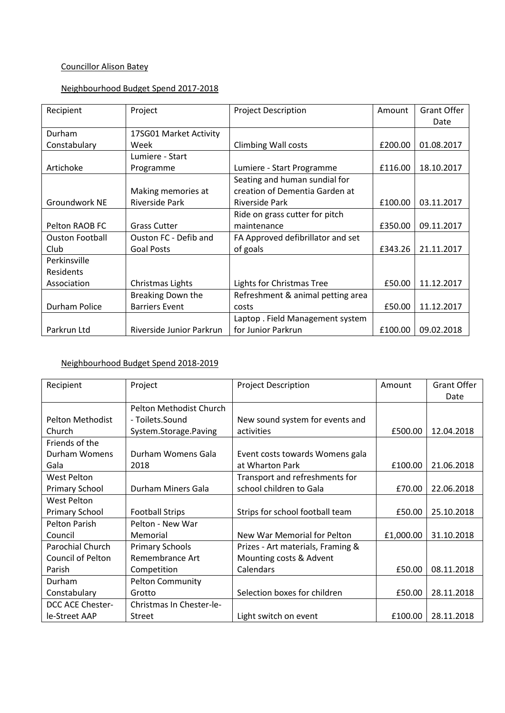# Councillor Alison Batey

## Neighbourhood Budget Spend 2017-2018

| Recipient              | Project                  | <b>Project Description</b>        | Amount  | <b>Grant Offer</b> |
|------------------------|--------------------------|-----------------------------------|---------|--------------------|
|                        |                          |                                   |         | Date               |
| Durham                 | 17SG01 Market Activity   |                                   |         |                    |
| Constabulary           | Week                     | <b>Climbing Wall costs</b>        | £200.00 | 01.08.2017         |
|                        | Lumiere - Start          |                                   |         |                    |
| Artichoke              | Programme                | Lumiere - Start Programme         | £116.00 | 18.10.2017         |
|                        |                          | Seating and human sundial for     |         |                    |
|                        | Making memories at       | creation of Dementia Garden at    |         |                    |
| Groundwork NE          | <b>Riverside Park</b>    | Riverside Park                    | £100.00 | 03.11.2017         |
|                        |                          | Ride on grass cutter for pitch    |         |                    |
| Pelton RAOB FC         | <b>Grass Cutter</b>      | maintenance                       | £350.00 | 09.11.2017         |
| <b>Ouston Football</b> | Ouston FC - Defib and    | FA Approved defibrillator and set |         |                    |
| Club                   | <b>Goal Posts</b>        | of goals                          | £343.26 | 21.11.2017         |
| Perkinsville           |                          |                                   |         |                    |
| Residents              |                          |                                   |         |                    |
| Association            | Christmas Lights         | Lights for Christmas Tree         | £50.00  | 11.12.2017         |
|                        | Breaking Down the        | Refreshment & animal petting area |         |                    |
| Durham Police          | <b>Barriers Event</b>    | costs                             | £50.00  | 11.12.2017         |
|                        |                          | Laptop. Field Management system   |         |                    |
| Parkrun Ltd            | Riverside Junior Parkrun | for Junior Parkrun                | £100.00 | 09.02.2018         |

# Neighbourhood Budget Spend 2018-2019

| Recipient               | Project                  | <b>Project Description</b>        | Amount    | <b>Grant Offer</b> |
|-------------------------|--------------------------|-----------------------------------|-----------|--------------------|
|                         |                          |                                   |           | Date               |
|                         | Pelton Methodist Church  |                                   |           |                    |
| <b>Pelton Methodist</b> | - Toilets.Sound          | New sound system for events and   |           |                    |
| Church                  | System.Storage.Paving    | activities                        | £500.00   | 12.04.2018         |
| Friends of the          |                          |                                   |           |                    |
| Durham Womens           | Durham Womens Gala       | Event costs towards Womens gala   |           |                    |
| Gala                    | 2018                     | at Wharton Park                   | £100.00   | 21.06.2018         |
| <b>West Pelton</b>      |                          | Transport and refreshments for    |           |                    |
| <b>Primary School</b>   | Durham Miners Gala       | school children to Gala           | £70.00    | 22.06.2018         |
| <b>West Pelton</b>      |                          |                                   |           |                    |
| <b>Primary School</b>   | <b>Football Strips</b>   | Strips for school football team   | £50.00    | 25.10.2018         |
| <b>Pelton Parish</b>    | Pelton - New War         |                                   |           |                    |
| Council                 | Memorial                 | New War Memorial for Pelton       | £1,000.00 | 31.10.2018         |
| Parochial Church        | <b>Primary Schools</b>   | Prizes - Art materials, Framing & |           |                    |
| Council of Pelton       | Remembrance Art          | Mounting costs & Advent           |           |                    |
| Parish                  | Competition              | Calendars                         | £50.00    | 08.11.2018         |
| Durham                  | <b>Pelton Community</b>  |                                   |           |                    |
| Constabulary            | Grotto                   | Selection boxes for children      | £50.00    | 28.11.2018         |
| DCC ACE Chester-        | Christmas In Chester-le- |                                   |           |                    |
| le-Street AAP           | <b>Street</b>            | Light switch on event             | £100.00   | 28.11.2018         |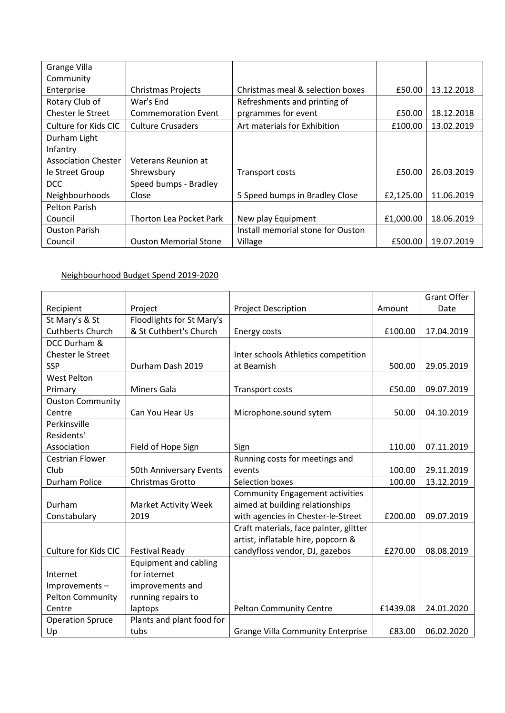| Grange Villa               |                              |                                   |           |            |
|----------------------------|------------------------------|-----------------------------------|-----------|------------|
| Community                  |                              |                                   |           |            |
| Enterprise                 | <b>Christmas Projects</b>    | Christmas meal & selection boxes  | £50.00    | 13.12.2018 |
| Rotary Club of             | War's End                    | Refreshments and printing of      |           |            |
| Chester le Street          | <b>Commemoration Event</b>   | prgrammes for event               | £50.00    | 18.12.2018 |
| Culture for Kids CIC       | <b>Culture Crusaders</b>     | Art materials for Exhibition      | £100.00   | 13.02.2019 |
| Durham Light               |                              |                                   |           |            |
| Infantry                   |                              |                                   |           |            |
| <b>Association Chester</b> | Veterans Reunion at          |                                   |           |            |
| le Street Group            | Shrewsbury                   | Transport costs                   | £50.00    | 26.03.2019 |
| <b>DCC</b>                 | Speed bumps - Bradley        |                                   |           |            |
| Neighbourhoods             | Close                        | 5 Speed bumps in Bradley Close    | £2,125.00 | 11.06.2019 |
| Pelton Parish              |                              |                                   |           |            |
| Council                    | Thorton Lea Pocket Park      | New play Equipment                | £1,000.00 | 18.06.2019 |
| <b>Ouston Parish</b>       |                              | Install memorial stone for Ouston |           |            |
| Council                    | <b>Ouston Memorial Stone</b> | Village                           | £500.00   | 19.07.2019 |

# Neighbourhood Budget Spend 2019-2020

|                         |                              |                                          |          | <b>Grant Offer</b> |
|-------------------------|------------------------------|------------------------------------------|----------|--------------------|
| Recipient               | Project                      | <b>Project Description</b>               | Amount   | Date               |
| St Mary's & St          | Floodlights for St Mary's    |                                          |          |                    |
| <b>Cuthberts Church</b> | & St Cuthbert's Church       | Energy costs                             | £100.00  | 17.04.2019         |
| DCC Durham &            |                              |                                          |          |                    |
| Chester le Street       |                              | Inter schools Athletics competition      |          |                    |
| <b>SSP</b>              | Durham Dash 2019             | at Beamish                               | 500.00   | 29.05.2019         |
| <b>West Pelton</b>      |                              |                                          |          |                    |
| Primary                 | <b>Miners Gala</b>           | <b>Transport costs</b>                   | £50.00   | 09.07.2019         |
| <b>Ouston Community</b> |                              |                                          |          |                    |
| Centre                  | Can You Hear Us              | Microphone.sound sytem                   | 50.00    | 04.10.2019         |
| Perkinsville            |                              |                                          |          |                    |
| Residents'              |                              |                                          |          |                    |
| Association             | Field of Hope Sign           | Sign                                     | 110.00   | 07.11.2019         |
| <b>Cestrian Flower</b>  |                              | Running costs for meetings and           |          |                    |
| Club                    | 50th Anniversary Events      | events                                   | 100.00   | 29.11.2019         |
| Durham Police           | Christmas Grotto             | Selection boxes                          | 100.00   | 13.12.2019         |
|                         |                              | <b>Community Engagement activities</b>   |          |                    |
| Durham                  | <b>Market Activity Week</b>  | aimed at building relationships          |          |                    |
| Constabulary            | 2019                         | with agencies in Chester-le-Street       | £200.00  | 09.07.2019         |
|                         |                              | Craft materials, face painter, glitter   |          |                    |
|                         |                              | artist, inflatable hire, popcorn &       |          |                    |
| Culture for Kids CIC    | <b>Festival Ready</b>        | candyfloss vendor, DJ, gazebos           | £270.00  | 08.08.2019         |
|                         | <b>Equipment and cabling</b> |                                          |          |                    |
| Internet                | for internet                 |                                          |          |                    |
| Improvements-           | improvements and             |                                          |          |                    |
| <b>Pelton Community</b> | running repairs to           |                                          |          |                    |
| Centre                  | laptops                      | <b>Pelton Community Centre</b>           | £1439.08 | 24.01.2020         |
| <b>Operation Spruce</b> | Plants and plant food for    |                                          |          |                    |
| Up                      | tubs                         | <b>Grange Villa Community Enterprise</b> | £83.00   | 06.02.2020         |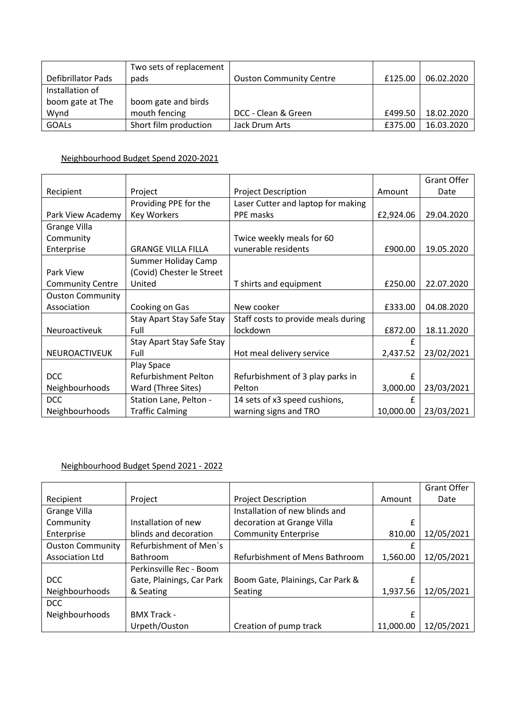|                    | Two sets of replacement |                                |         |            |
|--------------------|-------------------------|--------------------------------|---------|------------|
| Defibrillator Pads | pads                    | <b>Ouston Community Centre</b> | £125.00 | 06.02.2020 |
| Installation of    |                         |                                |         |            |
| boom gate at The   | boom gate and birds     |                                |         |            |
| Wynd               | mouth fencing           | DCC - Clean & Green            | £499.50 | 18.02.2020 |
| <b>GOALS</b>       | Short film production   | Jack Drum Arts                 | £375.00 | 16.03.2020 |

## Neighbourhood Budget Spend 2020-2021

|                         |                           |                                     |           | <b>Grant Offer</b> |
|-------------------------|---------------------------|-------------------------------------|-----------|--------------------|
| Recipient               | Project                   | <b>Project Description</b>          | Amount    | Date               |
|                         | Providing PPE for the     | Laser Cutter and laptop for making  |           |                    |
| Park View Academy       | <b>Key Workers</b>        | PPE masks                           | £2,924.06 | 29.04.2020         |
| Grange Villa            |                           |                                     |           |                    |
| Community               |                           | Twice weekly meals for 60           |           |                    |
| Enterprise              | <b>GRANGE VILLA FILLA</b> | vunerable residents                 | £900.00   | 19.05.2020         |
|                         | Summer Holiday Camp       |                                     |           |                    |
| Park View               | (Covid) Chester le Street |                                     |           |                    |
| <b>Community Centre</b> | United                    | T shirts and equipment              | £250.00   | 22.07.2020         |
| <b>Ouston Community</b> |                           |                                     |           |                    |
| Association             | Cooking on Gas            | New cooker                          | £333.00   | 04.08.2020         |
|                         | Stay Apart Stay Safe Stay | Staff costs to provide meals during |           |                    |
| Neuroactiveuk           | Full                      | lockdown                            | £872.00   | 18.11.2020         |
|                         | Stay Apart Stay Safe Stay |                                     | £         |                    |
| <b>NEUROACTIVEUK</b>    | Full                      | Hot meal delivery service           | 2,437.52  | 23/02/2021         |
|                         | Play Space                |                                     |           |                    |
| <b>DCC</b>              | Refurbishment Pelton      | Refurbishment of 3 play parks in    | £         |                    |
| Neighbourhoods          | Ward (Three Sites)        | Pelton                              | 3,000.00  | 23/03/2021         |
| <b>DCC</b>              | Station Lane, Pelton -    | 14 sets of x3 speed cushions,       | £         |                    |
| Neighbourhoods          | <b>Traffic Calming</b>    | warning signs and TRO               | 10,000.00 | 23/03/2021         |

## Neighbourhood Budget Spend 2021 - 2022

|                         |                           |                                  |           | <b>Grant Offer</b> |
|-------------------------|---------------------------|----------------------------------|-----------|--------------------|
| Recipient               | Project                   | <b>Project Description</b>       | Amount    | Date               |
| <b>Grange Villa</b>     |                           | Installation of new blinds and   |           |                    |
| Community               | Installation of new       | decoration at Grange Villa       | £         |                    |
| Enterprise              | blinds and decoration     | <b>Community Enterprise</b>      | 810.00    | 12/05/2021         |
| <b>Ouston Community</b> | Refurbishment of Men's    |                                  |           |                    |
| <b>Association Ltd</b>  | Bathroom                  | Refurbishment of Mens Bathroom   | 1,560.00  | 12/05/2021         |
|                         | Perkinsville Rec - Boom   |                                  |           |                    |
| <b>DCC</b>              | Gate, Plainings, Car Park | Boom Gate, Plainings, Car Park & | £         |                    |
| Neighbourhoods          | & Seating                 | Seating                          | 1,937.56  | 12/05/2021         |
| <b>DCC</b>              |                           |                                  |           |                    |
| Neighbourhoods          | <b>BMX Track -</b>        |                                  | £         |                    |
|                         | Urpeth/Ouston             | Creation of pump track           | 11,000.00 | 12/05/2021         |